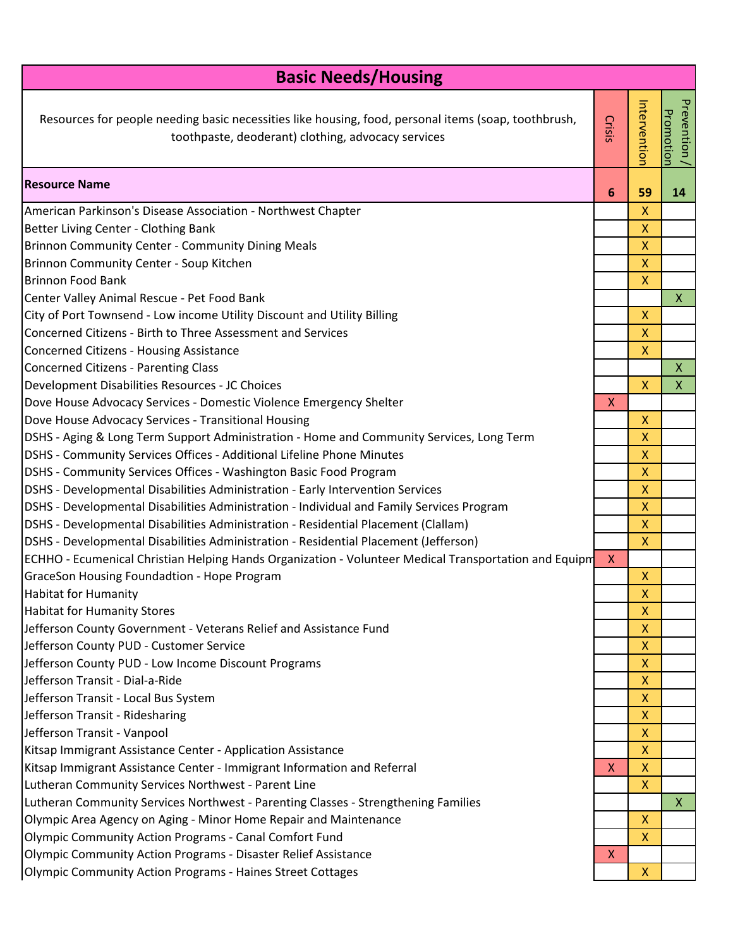| <b>Basic Needs/Housing</b>                                                                                                                                 |              |                    |                                  |  |
|------------------------------------------------------------------------------------------------------------------------------------------------------------|--------------|--------------------|----------------------------------|--|
| Resources for people needing basic necessities like housing, food, personal items (soap, toothbrush,<br>toothpaste, deoderant) clothing, advocacy services |              | Intervention       | Prevention /<br><b>Promotion</b> |  |
| <b>Resource Name</b>                                                                                                                                       | 6            | 59                 | 14                               |  |
| American Parkinson's Disease Association - Northwest Chapter                                                                                               |              |                    |                                  |  |
| Better Living Center - Clothing Bank                                                                                                                       |              |                    |                                  |  |
| Brinnon Community Center - Community Dining Meals                                                                                                          |              | X                  |                                  |  |
| Brinnon Community Center - Soup Kitchen                                                                                                                    |              | X                  |                                  |  |
| <b>Brinnon Food Bank</b>                                                                                                                                   |              | X                  |                                  |  |
| Center Valley Animal Rescue - Pet Food Bank                                                                                                                |              |                    | X                                |  |
| City of Port Townsend - Low income Utility Discount and Utility Billing                                                                                    |              | X                  |                                  |  |
| Concerned Citizens - Birth to Three Assessment and Services                                                                                                |              | X                  |                                  |  |
| Concerned Citizens - Housing Assistance                                                                                                                    |              | X                  | X                                |  |
| Concerned Citizens - Parenting Class<br>Development Disabilities Resources - JC Choices                                                                    |              | $\overline{X}$     | $\mathsf{X}$                     |  |
| Dove House Advocacy Services - Domestic Violence Emergency Shelter                                                                                         | X.           |                    |                                  |  |
| Dove House Advocacy Services - Transitional Housing                                                                                                        |              | X                  |                                  |  |
| DSHS - Aging & Long Term Support Administration - Home and Community Services, Long Term                                                                   |              | X                  |                                  |  |
| DSHS - Community Services Offices - Additional Lifeline Phone Minutes                                                                                      |              | $\mathsf{X}$       |                                  |  |
| DSHS - Community Services Offices - Washington Basic Food Program                                                                                          |              | X                  |                                  |  |
| DSHS - Developmental Disabilities Administration - Early Intervention Services                                                                             |              | X                  |                                  |  |
| DSHS - Developmental Disabilities Administration - Individual and Family Services Program                                                                  |              | X                  |                                  |  |
| DSHS - Developmental Disabilities Administration - Residential Placement (Clallam)                                                                         |              | X                  |                                  |  |
| DSHS - Developmental Disabilities Administration - Residential Placement (Jefferson)                                                                       |              | $\mathsf{X}$       |                                  |  |
| ECHHO - Ecumenical Christian Helping Hands Organization - Volunteer Medical Transportation and Equipm                                                      | X.           |                    |                                  |  |
| GraceSon Housing Foundadtion - Hope Program                                                                                                                |              | X                  |                                  |  |
| <b>Habitat for Humanity</b>                                                                                                                                |              | $\mathsf{X}$       |                                  |  |
| Habitat for Humanity Stores                                                                                                                                |              | X                  |                                  |  |
| Jefferson County Government - Veterans Relief and Assistance Fund                                                                                          |              | X                  |                                  |  |
| Jefferson County PUD - Customer Service                                                                                                                    |              | X                  |                                  |  |
| Jefferson County PUD - Low Income Discount Programs                                                                                                        |              | X.                 |                                  |  |
| Jefferson Transit - Dial-a-Ride                                                                                                                            |              | X                  |                                  |  |
| Jefferson Transit - Local Bus System                                                                                                                       |              | X.                 |                                  |  |
| Jefferson Transit - Ridesharing                                                                                                                            |              | X                  |                                  |  |
| Jefferson Transit - Vanpool                                                                                                                                |              | X                  |                                  |  |
| Kitsap Immigrant Assistance Center - Application Assistance                                                                                                |              | X                  |                                  |  |
| Kitsap Immigrant Assistance Center - Immigrant Information and Referral                                                                                    | $\mathsf{X}$ | $\mathsf{X}$       |                                  |  |
| Lutheran Community Services Northwest - Parent Line                                                                                                        |              | X.                 |                                  |  |
| Lutheran Community Services Northwest - Parenting Classes - Strengthening Families                                                                         |              |                    | $\mathsf{X}$                     |  |
| Olympic Area Agency on Aging - Minor Home Repair and Maintenance                                                                                           |              | X.<br>$\mathsf{X}$ |                                  |  |
| Olympic Community Action Programs - Canal Comfort Fund<br>Olympic Community Action Programs - Disaster Relief Assistance                                   | X            |                    |                                  |  |
| Olympic Community Action Programs - Haines Street Cottages                                                                                                 |              | $\mathsf{X}$       |                                  |  |
|                                                                                                                                                            |              |                    |                                  |  |